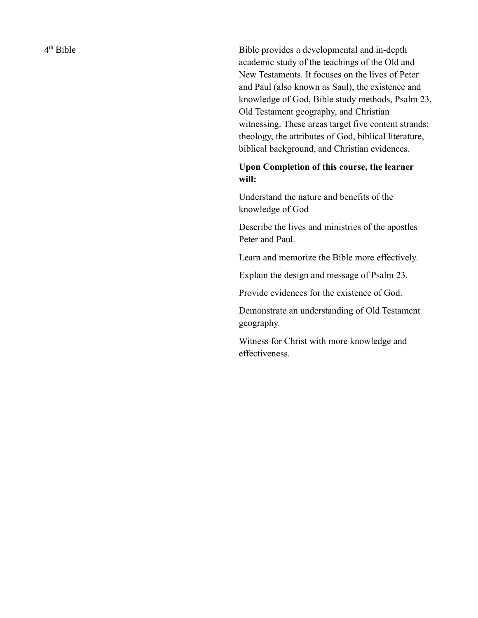$4<sup>th</sup>$  Bible

Bible provides a developmental and in-depth academic study of the teachings of the Old and New Testaments. It focuses on the lives of Peter and Paul (also known as Saul), the existence and knowledge of God, Bible study methods, Psalm 23, Old Testament geography, and Christian witnessing. These areas target five content strands: theology, the attributes of God, biblical literature, biblical background, and Christian evidences.

## **Upon Completion of this course, the learner will:**

Understand the nature and benefits of the knowledge of God

Describe the lives and ministries of the apostles Peter and Paul.

Learn and memorize the Bible more effectively.

Explain the design and message of Psalm 23.

Provide evidences for the existence of God.

Demonstrate an understanding of Old Testament geography.

Witness for Christ with more knowledge and effectiveness.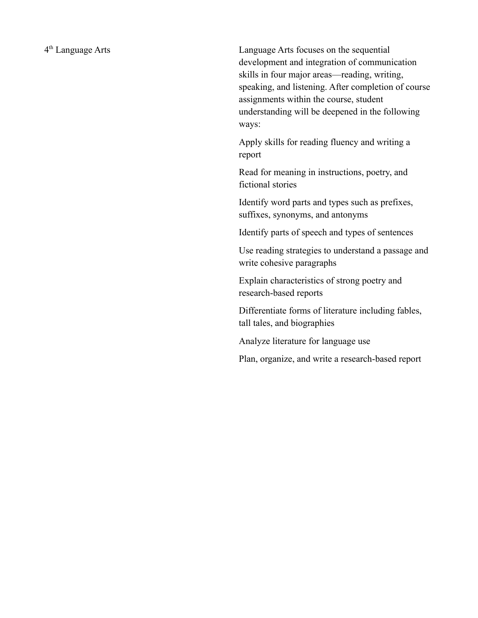4<sup>th</sup> Language Arts

Language Arts focuses on the sequential development and integration of communication skills in four major areas—reading, writing, speaking, and listening. After completion of course assignments within the course, student understanding will be deepened in the following ways:

Apply skills for reading fluency and writing a report

Read for meaning in instructions, poetry, and fictional stories

Identify word parts and types such as prefixes, suffixes, synonyms, and antonyms

Identify parts of speech and types of sentences

Use reading strategies to understand a passage and write cohesive paragraphs

Explain characteristics of strong poetry and research-based reports

Differentiate forms of literature including fables, tall tales, and biographies

Analyze literature for language use

Plan, organize, and write a research-based report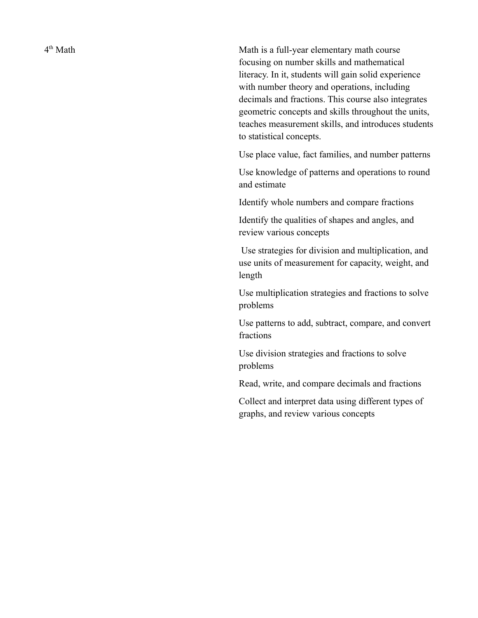4<sup>th</sup> Math

Math is a full-year elementary math course focusing on number skills and mathematical literacy. In it, students will gain solid experience with number theory and operations, including decimals and fractions. This course also integrates geometric concepts and skills throughout the units, teaches measurement skills, and introduces students to statistical concepts.

Use place value, fact families, and number patterns

Use knowledge of patterns and operations to round and estimate

Identify whole numbers and compare fractions

Identify the qualities of shapes and angles, and review various concepts

Use strategies for division and multiplication, and use units of measurement for capacity, weight, and length

Use multiplication strategies and fractions to solve problems

Use patterns to add, subtract, compare, and convert fractions

Use division strategies and fractions to solve problems

Read, write, and compare decimals and fractions

Collect and interpret data using different types of graphs, and review various concepts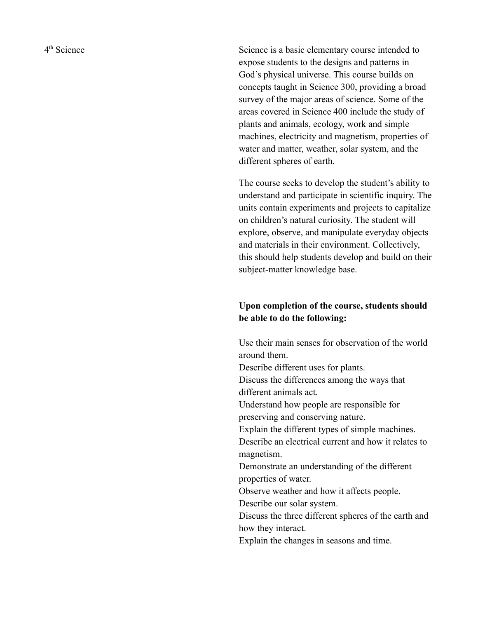4<sup>th</sup> Science

Science is a basic elementary course intended to expose students to the designs and patterns in God's physical universe. This course builds on concepts taught in Science 300, providing a broad survey of the major areas of science. Some of the areas covered in Science 400 include the study of plants and animals, ecology, work and simple machines, electricity and magnetism, properties of water and matter, weather, solar system, and the different spheres of earth.

The course seeks to develop the student's ability to understand and participate in scientific inquiry. The units contain experiments and projects to capitalize on children's natural curiosity. The student will explore, observe, and manipulate everyday objects and materials in their environment. Collectively, this should help students develop and build on their subject-matter knowledge base.

## **Upon completion of the course, students should be able to do the following:**

Use their main senses for observation of the world around them.

Describe different uses for plants.

Discuss the differences among the ways that different animals act.

Understand how people are responsible for preserving and conserving nature.

Explain the different types of simple machines. Describe an electrical current and how it relates to magnetism.

Demonstrate an understanding of the different properties of water.

Observe weather and how it affects people.

Describe our solar system.

Discuss the three different spheres of the earth and how they interact.

Explain the changes in seasons and time.